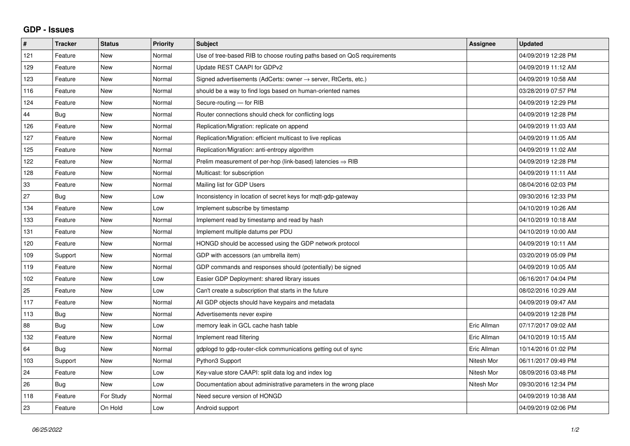## **GDP - Issues**

| ∦   | <b>Tracker</b> | <b>Status</b> | <b>Priority</b> | <b>Subject</b>                                                             | <b>Assignee</b> | <b>Updated</b>      |
|-----|----------------|---------------|-----------------|----------------------------------------------------------------------------|-----------------|---------------------|
| 121 | Feature        | New           | Normal          | Use of tree-based RIB to choose routing paths based on QoS requirements    |                 | 04/09/2019 12:28 PM |
| 129 | Feature        | <b>New</b>    | Normal          | Update REST CAAPI for GDPv2                                                |                 | 04/09/2019 11:12 AM |
| 123 | Feature        | <b>New</b>    | Normal          | Signed advertisements (AdCerts: owner $\rightarrow$ server, RtCerts, etc.) |                 | 04/09/2019 10:58 AM |
| 116 | Feature        | <b>New</b>    | Normal          | should be a way to find logs based on human-oriented names                 |                 | 03/28/2019 07:57 PM |
| 124 | Feature        | <b>New</b>    | Normal          | Secure-routing - for RIB                                                   |                 | 04/09/2019 12:29 PM |
| 44  | Bug            | New           | Normal          | Router connections should check for conflicting logs                       |                 | 04/09/2019 12:28 PM |
| 126 | Feature        | <b>New</b>    | Normal          | Replication/Migration: replicate on append                                 |                 | 04/09/2019 11:03 AM |
| 127 | Feature        | New           | Normal          | Replication/Migration: efficient multicast to live replicas                |                 | 04/09/2019 11:05 AM |
| 125 | Feature        | <b>New</b>    | Normal          | Replication/Migration: anti-entropy algorithm                              |                 | 04/09/2019 11:02 AM |
| 122 | Feature        | <b>New</b>    | Normal          | Prelim measurement of per-hop (link-based) latencies $\Rightarrow$ RIB     |                 | 04/09/2019 12:28 PM |
| 128 | Feature        | <b>New</b>    | Normal          | Multicast: for subscription                                                |                 | 04/09/2019 11:11 AM |
| 33  | Feature        | <b>New</b>    | Normal          | Mailing list for GDP Users                                                 |                 | 08/04/2016 02:03 PM |
| 27  | <b>Bug</b>     | <b>New</b>    | Low             | Inconsistency in location of secret keys for mqtt-gdp-gateway              |                 | 09/30/2016 12:33 PM |
| 134 | Feature        | <b>New</b>    | Low             | Implement subscribe by timestamp                                           |                 | 04/10/2019 10:26 AM |
| 133 | Feature        | New           | Normal          | Implement read by timestamp and read by hash                               |                 | 04/10/2019 10:18 AM |
| 131 | Feature        | <b>New</b>    | Normal          | Implement multiple datums per PDU                                          |                 | 04/10/2019 10:00 AM |
| 120 | Feature        | <b>New</b>    | Normal          | HONGD should be accessed using the GDP network protocol                    |                 | 04/09/2019 10:11 AM |
| 109 | Support        | New           | Normal          | GDP with accessors (an umbrella item)                                      |                 | 03/20/2019 05:09 PM |
| 119 | Feature        | <b>New</b>    | Normal          | GDP commands and responses should (potentially) be signed                  |                 | 04/09/2019 10:05 AM |
| 102 | Feature        | <b>New</b>    | Low             | Easier GDP Deployment: shared library issues                               |                 | 06/16/2017 04:04 PM |
| 25  | Feature        | <b>New</b>    | Low             | Can't create a subscription that starts in the future                      |                 | 08/02/2016 10:29 AM |
| 117 | Feature        | <b>New</b>    | Normal          | All GDP objects should have keypairs and metadata                          |                 | 04/09/2019 09:47 AM |
| 113 | <b>Bug</b>     | <b>New</b>    | Normal          | Advertisements never expire                                                |                 | 04/09/2019 12:28 PM |
| 88  | Bug            | <b>New</b>    | Low             | memory leak in GCL cache hash table                                        | Eric Allman     | 07/17/2017 09:02 AM |
| 132 | Feature        | <b>New</b>    | Normal          | Implement read filtering                                                   | Eric Allman     | 04/10/2019 10:15 AM |
| 64  | <b>Bug</b>     | New           | Normal          | gdplogd to gdp-router-click communications getting out of sync             | Eric Allman     | 10/14/2016 01:02 PM |
| 103 | Support        | <b>New</b>    | Normal          | Python3 Support                                                            | Nitesh Mor      | 06/11/2017 09:49 PM |
| 24  | Feature        | <b>New</b>    | Low             | Key-value store CAAPI: split data log and index log                        | Nitesh Mor      | 08/09/2016 03:48 PM |
| 26  | Bug            | <b>New</b>    | Low             | Documentation about administrative parameters in the wrong place           | Nitesh Mor      | 09/30/2016 12:34 PM |
| 118 | Feature        | For Study     | Normal          | Need secure version of HONGD                                               |                 | 04/09/2019 10:38 AM |
| 23  | Feature        | On Hold       | Low             | Android support                                                            |                 | 04/09/2019 02:06 PM |